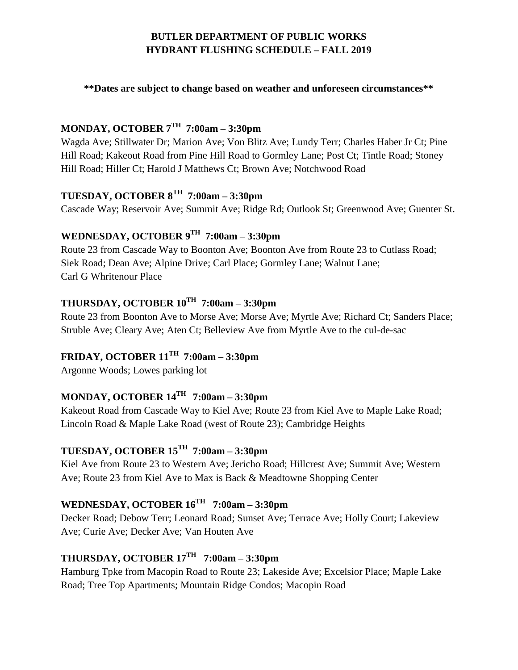## **BUTLER DEPARTMENT OF PUBLIC WORKS HYDRANT FLUSHING SCHEDULE – FALL 2019**

**\*\*Dates are subject to change based on weather and unforeseen circumstances\*\***

## **MONDAY, OCTOBER 7TH 7:00am – 3:30pm**

Wagda Ave; Stillwater Dr; Marion Ave; Von Blitz Ave; Lundy Terr; Charles Haber Jr Ct; Pine Hill Road; Kakeout Road from Pine Hill Road to Gormley Lane; Post Ct; Tintle Road; Stoney Hill Road; Hiller Ct; Harold J Matthews Ct; Brown Ave; Notchwood Road

### **TUESDAY, OCTOBER 8TH 7:00am – 3:30pm**

Cascade Way; Reservoir Ave; Summit Ave; Ridge Rd; Outlook St; Greenwood Ave; Guenter St.

## **WEDNESDAY, OCTOBER 9TH 7:00am – 3:30pm**

Route 23 from Cascade Way to Boonton Ave; Boonton Ave from Route 23 to Cutlass Road; Siek Road; Dean Ave; Alpine Drive; Carl Place; Gormley Lane; Walnut Lane; Carl G Whritenour Place

### **THURSDAY, OCTOBER 10TH 7:00am – 3:30pm**

Route 23 from Boonton Ave to Morse Ave; Morse Ave; Myrtle Ave; Richard Ct; Sanders Place; Struble Ave; Cleary Ave; Aten Ct; Belleview Ave from Myrtle Ave to the cul-de-sac

## **FRIDAY, OCTOBER 11 TH 7:00am – 3:30pm**

Argonne Woods; Lowes parking lot

## **MONDAY, OCTOBER 14TH 7:00am – 3:30pm**

Kakeout Road from Cascade Way to Kiel Ave; Route 23 from Kiel Ave to Maple Lake Road; Lincoln Road & Maple Lake Road (west of Route 23); Cambridge Heights

# **TUESDAY, OCTOBER 15TH 7:00am – 3:30pm**

Kiel Ave from Route 23 to Western Ave; Jericho Road; Hillcrest Ave; Summit Ave; Western Ave; Route 23 from Kiel Ave to Max is Back & Meadtowne Shopping Center

### **WEDNESDAY, OCTOBER 16TH 7:00am – 3:30pm**

Decker Road; Debow Terr; Leonard Road; Sunset Ave; Terrace Ave; Holly Court; Lakeview Ave; Curie Ave; Decker Ave; Van Houten Ave

## **THURSDAY, OCTOBER 17TH 7:00am – 3:30pm**

Hamburg Tpke from Macopin Road to Route 23; Lakeside Ave; Excelsior Place; Maple Lake Road; Tree Top Apartments; Mountain Ridge Condos; Macopin Road